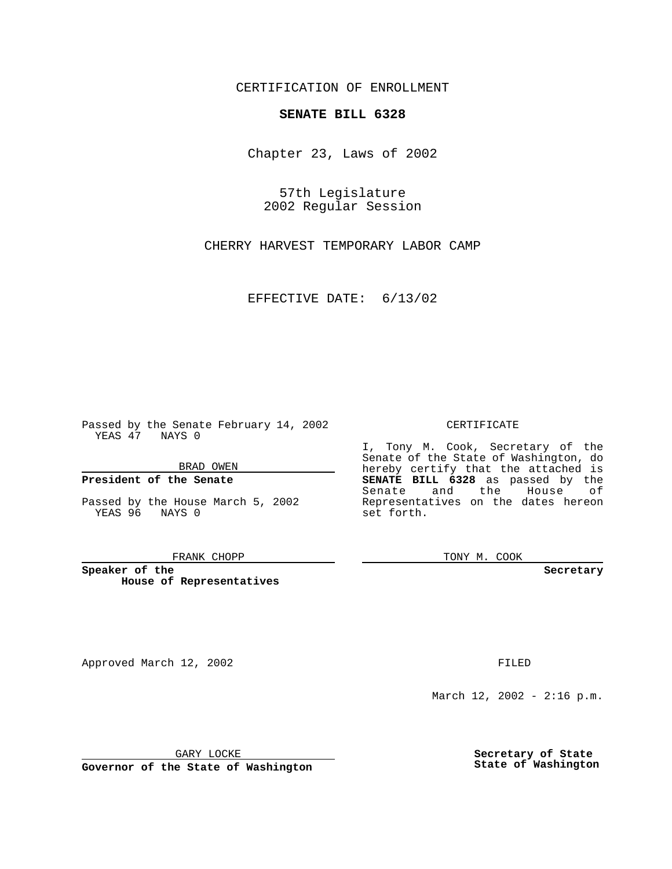CERTIFICATION OF ENROLLMENT

## **SENATE BILL 6328**

Chapter 23, Laws of 2002

57th Legislature 2002 Regular Session

CHERRY HARVEST TEMPORARY LABOR CAMP

EFFECTIVE DATE: 6/13/02

Passed by the Senate February 14, 2002 YEAS 47 NAYS 0

BRAD OWEN

### **President of the Senate**

Passed by the House March 5, 2002 YEAS 96 NAYS 0

#### FRANK CHOPP

**Speaker of the House of Representatives**

Approved March 12, 2002 **FILED** 

### CERTIFICATE

I, Tony M. Cook, Secretary of the Senate of the State of Washington, do hereby certify that the attached is **SENATE BILL 6328** as passed by the Senate and the House of Representatives on the dates hereon set forth.

TONY M. COOK

**Secretary**

March 12, 2002 - 2:16 p.m.

GARY LOCKE

**Governor of the State of Washington**

**Secretary of State State of Washington**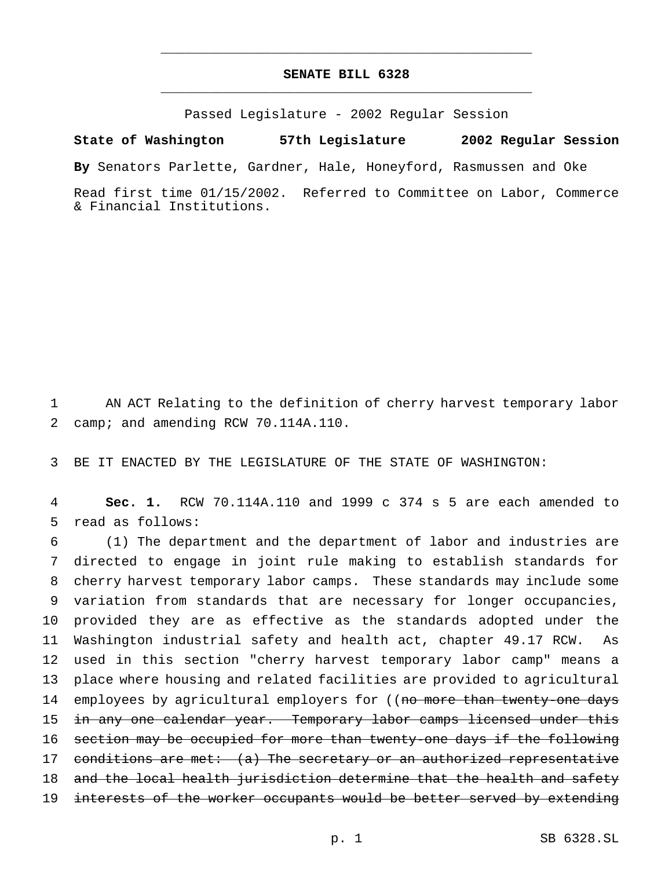# **SENATE BILL 6328** \_\_\_\_\_\_\_\_\_\_\_\_\_\_\_\_\_\_\_\_\_\_\_\_\_\_\_\_\_\_\_\_\_\_\_\_\_\_\_\_\_\_\_\_\_\_\_

\_\_\_\_\_\_\_\_\_\_\_\_\_\_\_\_\_\_\_\_\_\_\_\_\_\_\_\_\_\_\_\_\_\_\_\_\_\_\_\_\_\_\_\_\_\_\_

Passed Legislature - 2002 Regular Session

**State of Washington 57th Legislature 2002 Regular Session**

**By** Senators Parlette, Gardner, Hale, Honeyford, Rasmussen and Oke

Read first time 01/15/2002. Referred to Committee on Labor, Commerce & Financial Institutions.

1 AN ACT Relating to the definition of cherry harvest temporary labor 2 camp; and amending RCW 70.114A.110.

3 BE IT ENACTED BY THE LEGISLATURE OF THE STATE OF WASHINGTON:

4 **Sec. 1.** RCW 70.114A.110 and 1999 c 374 s 5 are each amended to 5 read as follows:

6 (1) The department and the department of labor and industries are 7 directed to engage in joint rule making to establish standards for 8 cherry harvest temporary labor camps. These standards may include some 9 variation from standards that are necessary for longer occupancies, 10 provided they are as effective as the standards adopted under the 11 Washington industrial safety and health act, chapter 49.17 RCW. As 12 used in this section "cherry harvest temporary labor camp" means a 13 place where housing and related facilities are provided to agricultural 14 employees by agricultural employers for ((no more than twenty-one days 15 in any one calendar year. Temporary labor camps licensed under this 16 section may be occupied for more than twenty-one days if the following 17 conditions are met: (a) The secretary or an authorized representative 18 and the local health jurisdiction determine that the health and safety 19 interests of the worker occupants would be better served by extending